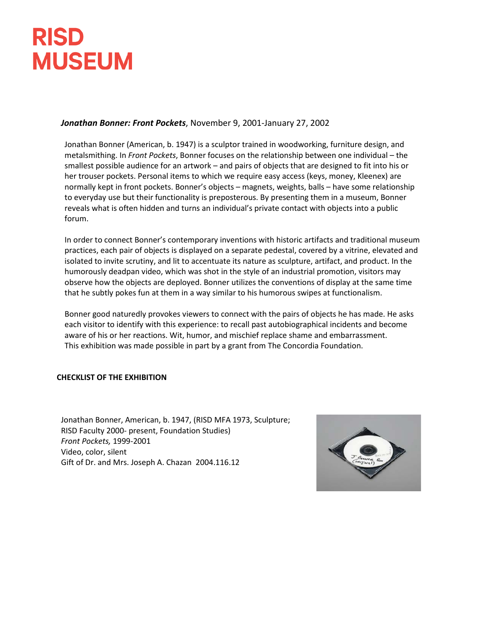## **RISD MUSEUM**

## *Jonathan Bonner: Front Pockets*, November 9, 2001-January 27, 2002

Jonathan Bonner (American, b. 1947) is a sculptor trained in woodworking, furniture design, and metalsmithing. In *Front Pockets*, Bonner focuses on the relationship between one individual – the smallest possible audience for an artwork – and pairs of objects that are designed to fit into his or her trouser pockets. Personal items to which we require easy access (keys, money, Kleenex) are normally kept in front pockets. Bonner's objects – magnets, weights, balls – have some relationship to everyday use but their functionality is preposterous. By presenting them in a museum, Bonner reveals what is often hidden and turns an individual's private contact with objects into a public forum.

In order to connect Bonner's contemporary inventions with historic artifacts and traditional museum practices, each pair of objects is displayed on a separate pedestal, covered by a vitrine, elevated and isolated to invite scrutiny, and lit to accentuate its nature as sculpture, artifact, and product. In the humorously deadpan video, which was shot in the style of an industrial promotion, visitors may observe how the objects are deployed. Bonner utilizes the conventions of display at the same time that he subtly pokes fun at them in a way similar to his humorous swipes at functionalism.

Bonner good naturedly provokes viewers to connect with the pairs of objects he has made. He asks each visitor to identify with this experience: to recall past autobiographical incidents and become aware of his or her reactions. Wit, humor, and mischief replace shame and embarrassment. This exhibition was made possible in part by a grant from The Concordia Foundation.

## **CHECKLIST OF THE EXHIBITION**

Jonathan Bonner, American, b. 1947, (RISD MFA 1973, Sculpture; RISD Faculty 2000- present, Foundation Studies) *Front Pockets,* 1999-2001 Video, color, silent Gift of Dr. and Mrs. Joseph A. Chazan 2004.116.12

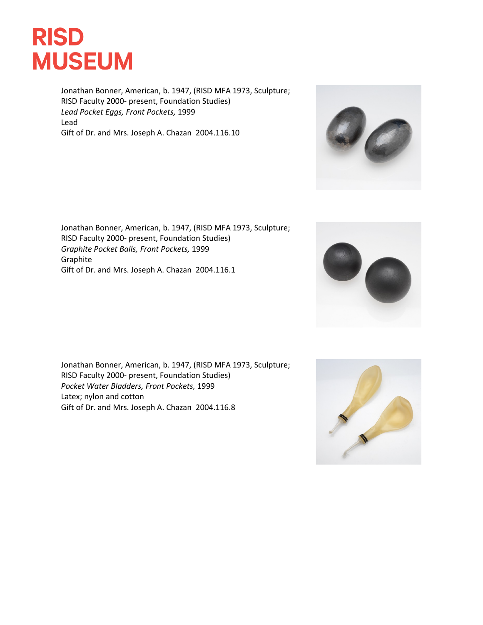

Jonathan Bonner, American, b. 1947, (RISD MFA 1973, Sculpture; RISD Faculty 2000- present, Foundation Studies) *Lead Pocket Eggs, Front Pockets,* 1999 Lead Gift of Dr. and Mrs. Joseph A. Chazan 2004.116.10









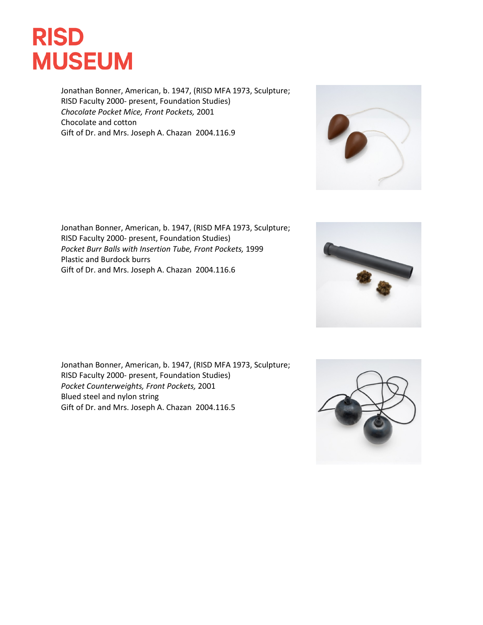

Jonathan Bonner, American, b. 1947, (RISD MFA 1973, Sculpture; RISD Faculty 2000- present, Foundation Studies) *Chocolate Pocket Mice, Front Pockets,* 2001 Chocolate and cotton Gift of Dr. and Mrs. Joseph A. Chazan 2004.116.9









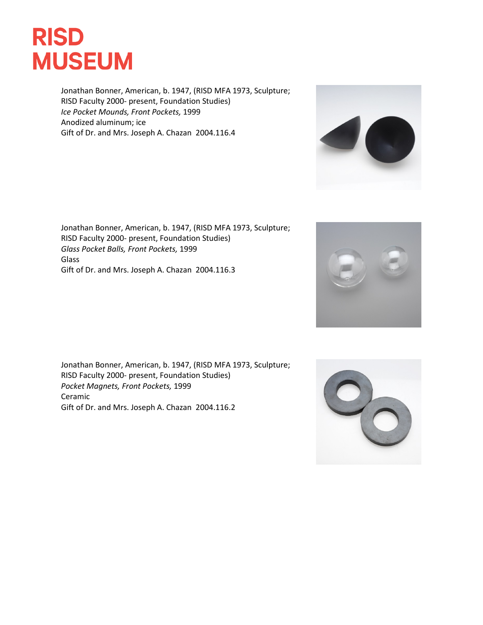

Jonathan Bonner, American, b. 1947, (RISD MFA 1973, Sculpture; RISD Faculty 2000- present, Foundation Studies) *Ice Pocket Mounds, Front Pockets,* 1999 Anodized aluminum; ice Gift of Dr. and Mrs. Joseph A. Chazan 2004.116.4

Jonathan Bonner, American, b. 1947, (RISD MFA 1973, Sculpture; RISD Faculty 2000- present, Foundation Studies) *Glass Pocket Balls, Front Pockets,* 1999 Glass Gift of Dr. and Mrs. Joseph A. Chazan 2004.116.3

Jonathan Bonner, American, b. 1947, (RISD MFA 1973, Sculpture; RISD Faculty 2000- present, Foundation Studies) *Pocket Magnets, Front Pockets,* 1999 Ceramic Gift of Dr. and Mrs. Joseph A. Chazan 2004.116.2